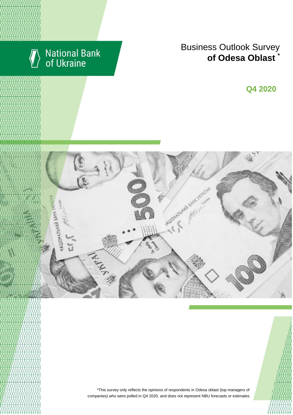

# National Bank<br>of Ukraine

## Business Outlook Survey enterprises managers regarding their **of Odesa Oblast \***

I квартал 2018 року **Q2 2018 Q4 2020**





\*This survey only reflects the opinions of respondents in Odesa oblast (top managers of companies) who were polled in Q4 2020, and does not represent NBU forecasts or estimates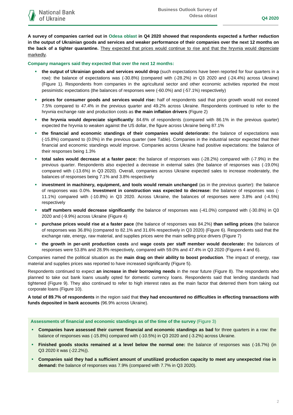**A survey of companies carried out in Odesa oblast in Q4 2020 showed that respondents expected a further reduction in the output of Ukrainian goods and services and weaker performance of their companies over the next 12 months on the back of a tighter quarantine.** They expected that prices would continue to rise and that the hryvnia would depreciate markedly.

**Company managers said they expected that over the next 12 months:**

- **the output of Ukrainian goods and services would drop** (such expectations have been reported for four quarters in a row): the balance of expectations was (-30.8%) (compared with (-28.2%) in Q3 2020 and (-24.4%) across Ukraine) (Figure 1). Respondents from companies in the agricultural sector and other economic activities reported the most pessimistic expectations (the balances of responses were (-60.0%) and (-57.1%) respectively)
- **prices for consumer goods and services would rise:** half of respondents said that price growth would not exceed 7.5% compared to 47.4% in the previous quarter and 49.2% across Ukraine. Respondents continued to refer to the hryvnia exchange rate and production costs as **the main inflation drivers** (Figure 2)
- **the hryvnia would depreciate significantly**: 84.6% of respondents (compared with 86.1% in the previous quarter) expected the hryvnia to weaken against the US dollar, the figure across Ukraine being 87.1%
- **the financial and economic standings of their companies would deteriorate:** the balance of expectations was (-15.8%) compared to (0.0%) in the previous quarter (see Table). Companies in the industrial sector expected that their financial and economic standings would improve. Companies across Ukraine had positive expectations: the balance of their responses being 1.3%
- **total sales would decrease at a faster pace:** the balance of responses was (-28.2%) compared with (-7.9%) in the previous quarter. Respondents also expected a decrease in external sales (the balance of responses was (-19.0%) compared with (-13.6%) in Q3 2020). Overall, companies across Ukraine expected sales to increase moderately, the balances of responses being 7.1% and 3.8% respectively
- **investment in machinery, equipment, and tools would remain unchanged** (as in the previous quarter): the balance of responses was 0.0%. **Investment in construction was expected to decrease:** the balance of responses was (- 11.1%) compared with (-10.8%) in Q3 2020. Across Ukraine, the balances of responses were 3.8% and (-4.5%) respectively
- **staff numbers would decrease significantly**: the balance of responses was (-41.0%) compared with (-30.8%) in Q3 2020 and (-9.9%) across Ukraine (Figure 4)
- **purchase prices would rise at a faster pace** (the balance of responses was 84.2%) **than selling prices** (the balance of responses was 36.8%) (compared to 82.1% and 31.6% respectively in Q3 2020) (Figure 6). Respondents said that the exchange rate, energy, raw material, and supplies prices were the main selling price drivers (Figure 7)
- **the growth in per-unit production costs** and **wage costs per staff member would decelerate:** the balances of responses were 53.8% and 28.9% respectively, compared with 59.0% and 47.4% in Q3 2020 (Figures 4 and 6).

Companies named the political situation as the **main drag on their ability to boost production**. The impact of energy, raw material and supplies prices was reported to have increased significantly (Figure 5).

Respondents continued to expect **an increase in their borrowing needs** in the near future (Figure 8). The respondents who planned to take out bank loans usually opted for domestic currency loans. Respondents said that lending standards had tightened (Figure 9). They also continued to refer to high interest rates as the main factor that deterred them from taking out corporate loans (Figure 10).

**A total of 89.7% of respondents** in the region said that **they had encountered no difficulties in effecting transactions with funds deposited in bank accounts** (96.9% across Ukraine).

**Assessments of financial and economic standings as of the time of the survey** (Figure 3)

- **Companies have assessed their current financial and economic standings as bad** for three quarters in a row: the balance of responses was (-15.8%) compared with (-10.5%) in Q3 2020 and (-3.2%) across Ukraine.
- **Finished goods stocks remained at a level below the normal one:** the balance of responses was (-16.7%) (in Q3 2020 it was (-22.2%)).
- **Companies said they had a sufficient amount of unutilized production capacity to meet any unexpected rise in demand:** the balance of responses was 7.9% (compared with 7.7% in Q3 2020).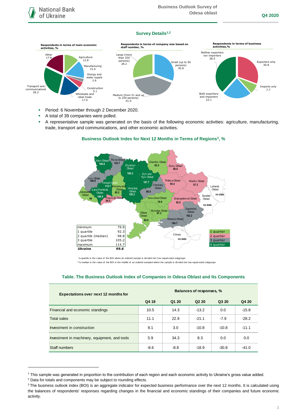## **Survey Details1,2**



- **Period: 6 November through 2 December 2020.**
- A total of 39 companies were polled.
- A representative sample was generated on the basis of the following economic activities: agriculture, manufacturing, trade, transport and communications, and other economic activities.



## **Business Outlook Index for Next 12 Months in Terms of Regions<sup>3</sup>, %**

 \*a quartile is the v alue of the BOI where an ordered sample is div ided into f our equal-sized subgroups \*\*a median is the v alue of the BOI in the middle of an ordered sampled where the sample is divided into two equal-sized subgroups

| <b>Expectations over next 12 months for</b>   | Balances of responses, % |        |                               |         |         |
|-----------------------------------------------|--------------------------|--------|-------------------------------|---------|---------|
|                                               | Q4 19                    | Q1 20  | Q <sub>2</sub> 2 <sub>0</sub> | Q3 20   | Q4 20   |
| Financial and economic standings              | 10.5                     | 14.3   | $-13.2$                       | 0.0     | $-15.8$ |
| <b>Total sales</b>                            | 11.1                     | 22.9   | $-21.1$                       | $-7.9$  | $-28.2$ |
| Investment in construction                    | 9.1                      | 3.0    | $-10.8$                       | $-10.8$ | $-11.1$ |
| Investment in machinery, equipment, and tools | 5.9                      | 34.3   | 8.3                           | 0.0     | 0.0     |
| Staff numbers                                 | $-8.6$                   | $-8.8$ | $-18.9$                       | $-30.8$ | $-41.0$ |

## **Table. The Business Outlook Index of Companies in Odesa Oblast and Its Components**

1

<sup>1</sup> This sample was generated in proportion to the contribution of each region and each economic activity to Ukraine's gross value added.

<sup>2</sup> Data for totals and components may be subject to rounding effects.

<sup>&</sup>lt;sup>3</sup> The business outlook index (BOI) is an aggregate indicator for expected business performance over the next 12 months. It is calculated using the balances of respondents' responses regarding changes in the financial and economic standings of their companies and future economic activity.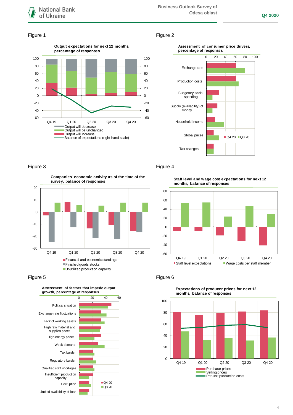

#### Figure 1 Figure 2





20 **Companies' economic activity as of the time of the survey, balance of responses**



Figure 5 **Figure 6** 



#### Figure 3 Figure 4

**Staff level and wage cost expectations for next 12 months, balance of responses**





#### **Expectations of producer prices for next 12 months, balance of responses**